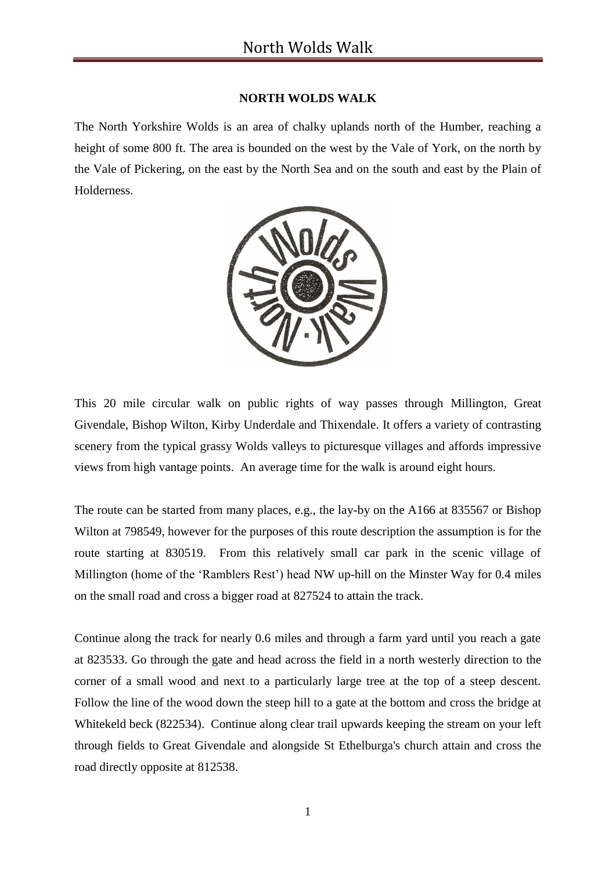## **NORTH WOLDS WALK**

The North Yorkshire Wolds is an area of chalky uplands north of the Humber, reaching a height of some 800 ft. The area is bounded on the west by the Vale of York, on the north by the Vale of Pickering, on the east by the North Sea and on the south and east by the Plain of Holderness.



This 20 mile circular walk on public rights of way passes through Millington, Great Givendale, Bishop Wilton, Kirby Underdale and Thixendale. It offers a variety of contrasting scenery from the typical grassy Wolds valleys to picturesque villages and affords impressive views from high vantage points. An average time for the walk is around eight hours.

The route can be started from many places, e.g., the lay-by on the A166 at 835567 or Bishop Wilton at 798549, however for the purposes of this route description the assumption is for the route starting at 830519. From this relatively small car park in the scenic village of Millington (home of the 'Ramblers Rest') head NW up-hill on the Minster Way for 0.4 miles on the small road and cross a bigger road at 827524 to attain the track.

Continue along the track for nearly 0.6 miles and through a farm yard until you reach a gate at 823533. Go through the gate and head across the field in a north westerly direction to the corner of a small wood and next to a particularly large tree at the top of a steep descent. Follow the line of the wood down the steep hill to a gate at the bottom and cross the bridge at Whitekeld beck (822534). Continue along clear trail upwards keeping the stream on your left through fields to Great Givendale and alongside St Ethelburga's church attain and cross the road directly opposite at 812538.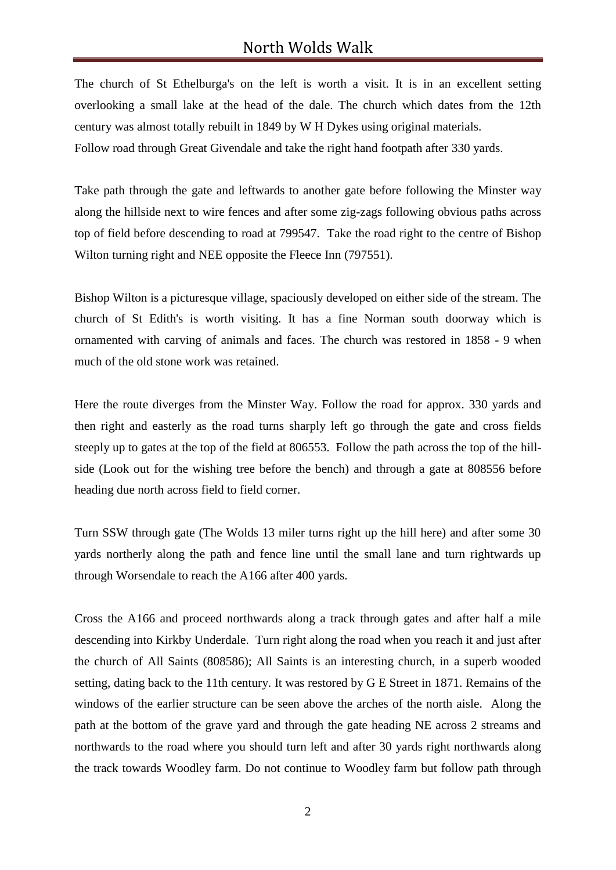## North Wolds Walk

The church of St Ethelburga's on the left is worth a visit. It is in an excellent setting overlooking a small lake at the head of the dale. The church which dates from the 12th century was almost totally rebuilt in 1849 by W H Dykes using original materials. Follow road through Great Givendale and take the right hand footpath after 330 yards.

Take path through the gate and leftwards to another gate before following the Minster way along the hillside next to wire fences and after some zig-zags following obvious paths across top of field before descending to road at 799547. Take the road right to the centre of Bishop Wilton turning right and NEE opposite the Fleece Inn (797551).

Bishop Wilton is a picturesque village, spaciously developed on either side of the stream. The church of St Edith's is worth visiting. It has a fine Norman south doorway which is ornamented with carving of animals and faces. The church was restored in 1858 - 9 when much of the old stone work was retained.

Here the route diverges from the Minster Way. Follow the road for approx. 330 yards and then right and easterly as the road turns sharply left go through the gate and cross fields steeply up to gates at the top of the field at 806553. Follow the path across the top of the hillside (Look out for the wishing tree before the bench) and through a gate at 808556 before heading due north across field to field corner.

Turn SSW through gate (The Wolds 13 miler turns right up the hill here) and after some 30 yards northerly along the path and fence line until the small lane and turn rightwards up through Worsendale to reach the A166 after 400 yards.

Cross the A166 and proceed northwards along a track through gates and after half a mile descending into Kirkby Underdale. Turn right along the road when you reach it and just after the church of All Saints (808586); All Saints is an interesting church, in a superb wooded setting, dating back to the 11th century. It was restored by G E Street in 1871. Remains of the windows of the earlier structure can be seen above the arches of the north aisle. Along the path at the bottom of the grave yard and through the gate heading NE across 2 streams and northwards to the road where you should turn left and after 30 yards right northwards along the track towards Woodley farm. Do not continue to Woodley farm but follow path through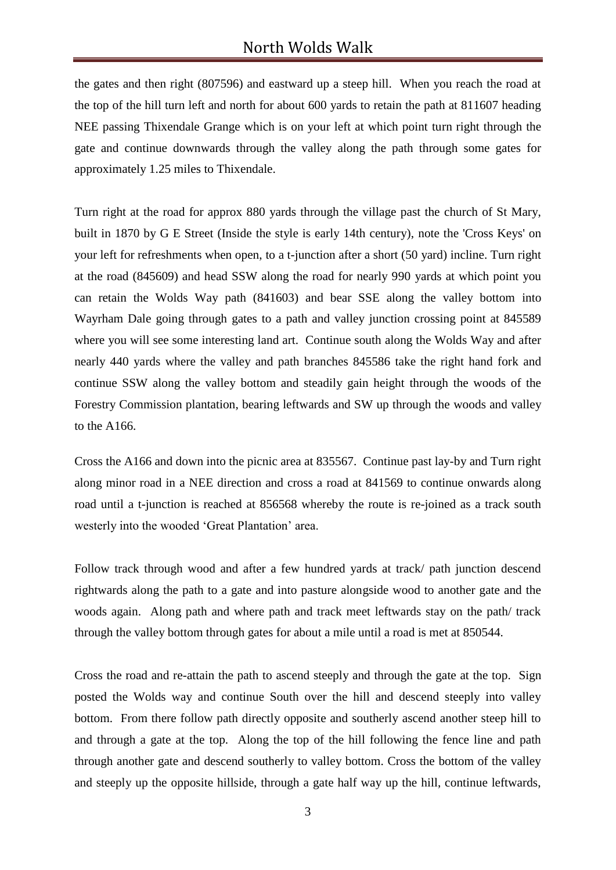## North Wolds Walk

the gates and then right (807596) and eastward up a steep hill. When you reach the road at the top of the hill turn left and north for about 600 yards to retain the path at 811607 heading NEE passing Thixendale Grange which is on your left at which point turn right through the gate and continue downwards through the valley along the path through some gates for approximately 1.25 miles to Thixendale.

Turn right at the road for approx 880 yards through the village past the church of St Mary, built in 1870 by G E Street (Inside the style is early 14th century), note the 'Cross Keys' on your left for refreshments when open, to a t-junction after a short (50 yard) incline. Turn right at the road (845609) and head SSW along the road for nearly 990 yards at which point you can retain the Wolds Way path (841603) and bear SSE along the valley bottom into Wayrham Dale going through gates to a path and valley junction crossing point at 845589 where you will see some interesting land art. Continue south along the Wolds Way and after nearly 440 yards where the valley and path branches 845586 take the right hand fork and continue SSW along the valley bottom and steadily gain height through the woods of the Forestry Commission plantation, bearing leftwards and SW up through the woods and valley to the A166.

Cross the A166 and down into the picnic area at 835567. Continue past lay-by and Turn right along minor road in a NEE direction and cross a road at 841569 to continue onwards along road until a t-junction is reached at 856568 whereby the route is re-joined as a track south westerly into the wooded 'Great Plantation' area.

Follow track through wood and after a few hundred yards at track/ path junction descend rightwards along the path to a gate and into pasture alongside wood to another gate and the woods again. Along path and where path and track meet leftwards stay on the path/ track through the valley bottom through gates for about a mile until a road is met at 850544.

Cross the road and re-attain the path to ascend steeply and through the gate at the top. Sign posted the Wolds way and continue South over the hill and descend steeply into valley bottom. From there follow path directly opposite and southerly ascend another steep hill to and through a gate at the top. Along the top of the hill following the fence line and path through another gate and descend southerly to valley bottom. Cross the bottom of the valley and steeply up the opposite hillside, through a gate half way up the hill, continue leftwards,